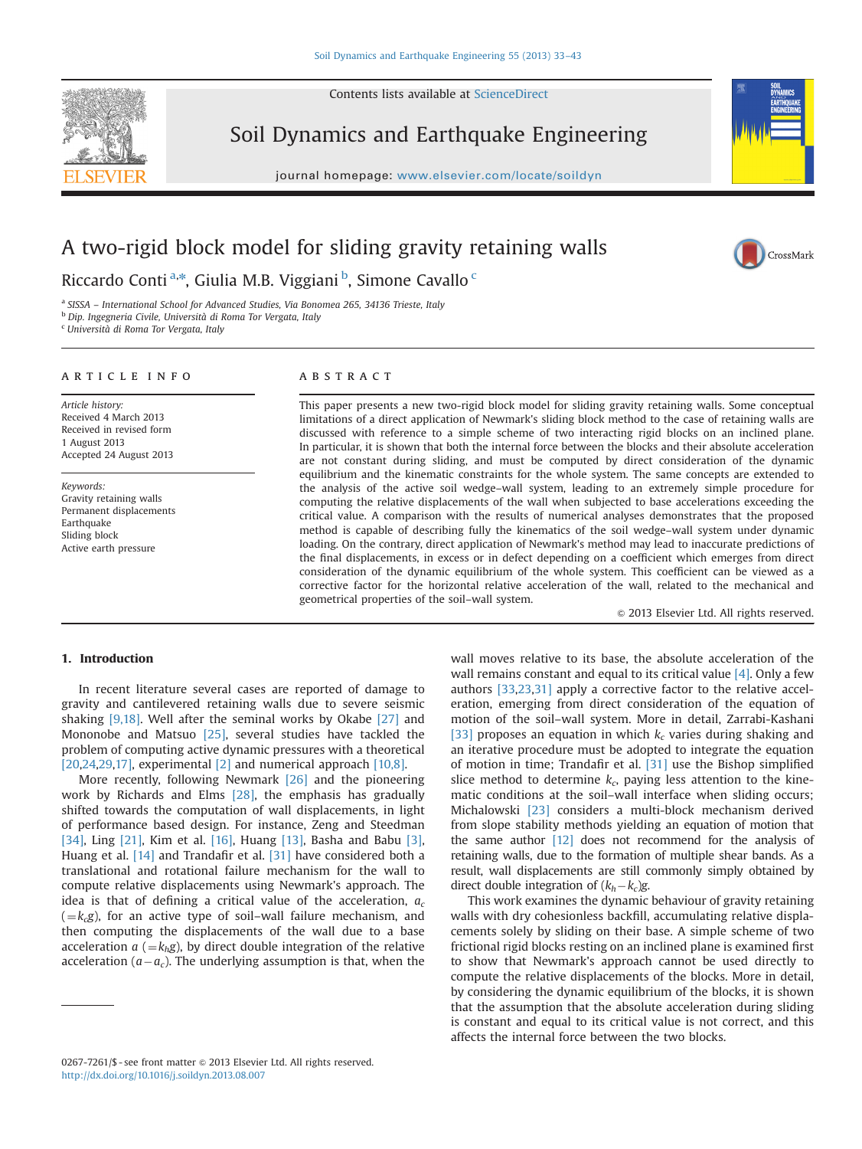Contents lists available at [ScienceDirect](www.sciencedirect.com/science/journal/02677261)



Soil Dynamics and Earthquake Engineering





CrossMark

# A two-rigid block model for sliding gravity retaining walls

Riccardo Conti<sup>a,\*</sup>, Giulia M.B. Viggiani <sup>b</sup>, Simone Cavallo <sup>c</sup>

<sup>a</sup> SISSA – International School for Advanced Studies, Via Bonomea 265, 34136 Trieste, Italy

<sup>b</sup> Dip. Ingegneria Civile, Università di Roma Tor Vergata, Italy

<sup>c</sup> Università di Roma Tor Vergata, Italy

#### article info

Article history: Received 4 March 2013 Received in revised form 1 August 2013 Accepted 24 August 2013

Keywords: Gravity retaining walls Permanent displacements Earthquake Sliding block Active earth pressure

## ABSTRACT

This paper presents a new two-rigid block model for sliding gravity retaining walls. Some conceptual limitations of a direct application of Newmark's sliding block method to the case of retaining walls are discussed with reference to a simple scheme of two interacting rigid blocks on an inclined plane. In particular, it is shown that both the internal force between the blocks and their absolute acceleration are not constant during sliding, and must be computed by direct consideration of the dynamic equilibrium and the kinematic constraints for the whole system. The same concepts are extended to the analysis of the active soil wedge–wall system, leading to an extremely simple procedure for computing the relative displacements of the wall when subjected to base accelerations exceeding the critical value. A comparison with the results of numerical analyses demonstrates that the proposed method is capable of describing fully the kinematics of the soil wedge–wall system under dynamic loading. On the contrary, direct application of Newmark's method may lead to inaccurate predictions of the final displacements, in excess or in defect depending on a coefficient which emerges from direct consideration of the dynamic equilibrium of the whole system. This coefficient can be viewed as a corrective factor for the horizontal relative acceleration of the wall, related to the mechanical and geometrical properties of the soil–wall system.

 $\odot$  2013 Elsevier Ltd. All rights reserved.

## 1. Introduction

In recent literature several cases are reported of damage to gravity and cantilevered retaining walls due to severe seismic shaking [\[9,18\].](#page--1-0) Well after the seminal works by Okabe [\[27\]](#page--1-0) and Mononobe and Matsuo [\[25\],](#page--1-0) several studies have tackled the problem of computing active dynamic pressures with a theoretical [\[20,24,29,17\]](#page--1-0), experimental  $[2]$  and numerical approach  $[10,8]$ .

More recently, following Newmark [\[26\]](#page--1-0) and the pioneering work by Richards and Elms [\[28\],](#page--1-0) the emphasis has gradually shifted towards the computation of wall displacements, in light of performance based design. For instance, Zeng and Steedman [\[34\],](#page--1-0) Ling [\[21\]](#page--1-0), Kim et al. [\[16\],](#page--1-0) Huang [\[13\],](#page--1-0) Basha and Babu [\[3\],](#page--1-0) Huang et al. [\[14\]](#page--1-0) and Trandafir et al. [\[31\]](#page--1-0) have considered both a translational and rotational failure mechanism for the wall to compute relative displacements using Newmark's approach. The idea is that of defining a critical value of the acceleration,  $a_c$  $(k=k_{c}g)$ , for an active type of soil–wall failure mechanism, and then computing the displacements of the wall due to a base acceleration  $a (=k_h g)$ , by direct double integration of the relative acceleration ( $a - a_c$ ). The underlying assumption is that, when the

wall moves relative to its base, the absolute acceleration of the wall remains constant and equal to its critical value  $[4]$ . Only a few authors [\[33](#page--1-0),[23,31\]](#page--1-0) apply a corrective factor to the relative acceleration, emerging from direct consideration of the equation of motion of the soil–wall system. More in detail, Zarrabi-Kashani [\[33\]](#page--1-0) proposes an equation in which  $k_c$  varies during shaking and an iterative procedure must be adopted to integrate the equation of motion in time; Trandafir et al. [\[31\]](#page--1-0) use the Bishop simplified slice method to determine  $k_c$ , paying less attention to the kinematic conditions at the soil–wall interface when sliding occurs; Michalowski [\[23\]](#page--1-0) considers a multi-block mechanism derived from slope stability methods yielding an equation of motion that the same author [\[12\]](#page--1-0) does not recommend for the analysis of retaining walls, due to the formation of multiple shear bands. As a result, wall displacements are still commonly simply obtained by direct double integration of  $(k_h - k_c)$ g.

This work examines the dynamic behaviour of gravity retaining walls with dry cohesionless backfill, accumulating relative displacements solely by sliding on their base. A simple scheme of two frictional rigid blocks resting on an inclined plane is examined first to show that Newmark's approach cannot be used directly to compute the relative displacements of the blocks. More in detail, by considering the dynamic equilibrium of the blocks, it is shown that the assumption that the absolute acceleration during sliding is constant and equal to its critical value is not correct, and this affects the internal force between the two blocks.

<sup>0267-7261/\$ -</sup> see front matter  $\circ$  2013 Elsevier Ltd. All rights reserved. <http://dx.doi.org/10.1016/j.soildyn.2013.08.007>